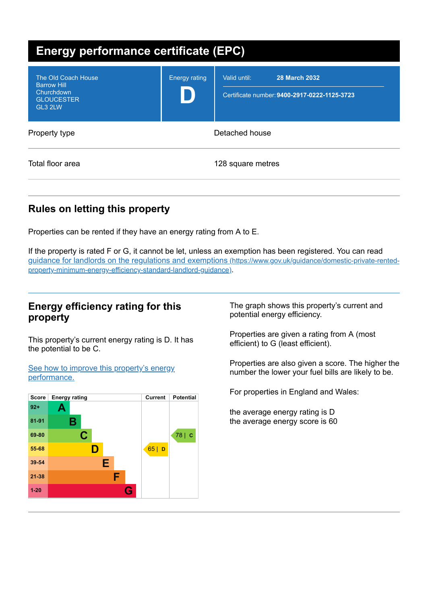| <b>Energy performance certificate (EPC)</b>                                             |                      |                                                                                      |  |
|-----------------------------------------------------------------------------------------|----------------------|--------------------------------------------------------------------------------------|--|
| The Old Coach House<br><b>Barrow Hill</b><br>Churchdown<br><b>GLOUCESTER</b><br>GL3 2LW | <b>Energy rating</b> | <b>28 March 2032</b><br>Valid until:<br>Certificate number: 9400-2917-0222-1125-3723 |  |
| Property type                                                                           | Detached house       |                                                                                      |  |
| Total floor area                                                                        |                      | 128 square metres                                                                    |  |

# **Rules on letting this property**

Properties can be rented if they have an energy rating from A to E.

If the property is rated F or G, it cannot be let, unless an exemption has been registered. You can read guidance for landlords on the regulations and exemptions (https://www.gov.uk/guidance/domestic-private-rented[property-minimum-energy-efficiency-standard-landlord-guidance\)](https://www.gov.uk/guidance/domestic-private-rented-property-minimum-energy-efficiency-standard-landlord-guidance).

## **Energy efficiency rating for this property**

This property's current energy rating is D. It has the potential to be C.

See how to improve this property's energy [performance.](#page-2-0)



The graph shows this property's current and potential energy efficiency.

Properties are given a rating from A (most efficient) to G (least efficient).

Properties are also given a score. The higher the number the lower your fuel bills are likely to be.

For properties in England and Wales:

the average energy rating is D the average energy score is 60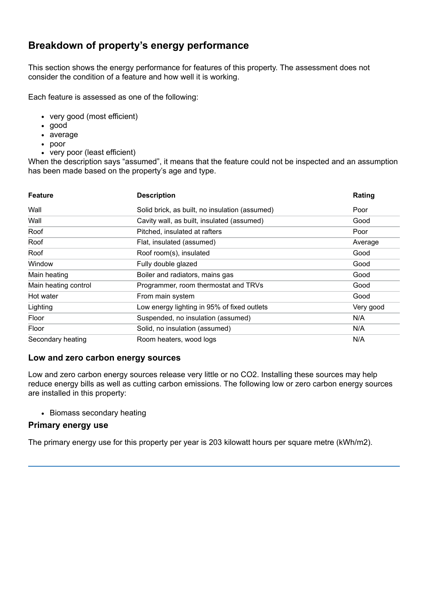# **Breakdown of property's energy performance**

This section shows the energy performance for features of this property. The assessment does not consider the condition of a feature and how well it is working.

Each feature is assessed as one of the following:

- very good (most efficient)
- good
- average
- poor
- very poor (least efficient)

When the description says "assumed", it means that the feature could not be inspected and an assumption has been made based on the property's age and type.

| <b>Feature</b>       | <b>Description</b>                             | Rating    |
|----------------------|------------------------------------------------|-----------|
| Wall                 | Solid brick, as built, no insulation (assumed) | Poor      |
| Wall                 | Cavity wall, as built, insulated (assumed)     | Good      |
| Roof                 | Pitched, insulated at rafters                  | Poor      |
| Roof                 | Flat, insulated (assumed)                      | Average   |
| Roof                 | Roof room(s), insulated                        | Good      |
| Window               | Fully double glazed                            | Good      |
| Main heating         | Boiler and radiators, mains gas                | Good      |
| Main heating control | Programmer, room thermostat and TRVs           | Good      |
| Hot water            | From main system                               | Good      |
| Lighting             | Low energy lighting in 95% of fixed outlets    | Very good |
| Floor                | Suspended, no insulation (assumed)             | N/A       |
| Floor                | Solid, no insulation (assumed)                 | N/A       |
| Secondary heating    | Room heaters, wood logs                        | N/A       |

#### **Low and zero carbon energy sources**

Low and zero carbon energy sources release very little or no CO2. Installing these sources may help reduce energy bills as well as cutting carbon emissions. The following low or zero carbon energy sources are installed in this property:

• Biomass secondary heating

#### **Primary energy use**

The primary energy use for this property per year is 203 kilowatt hours per square metre (kWh/m2).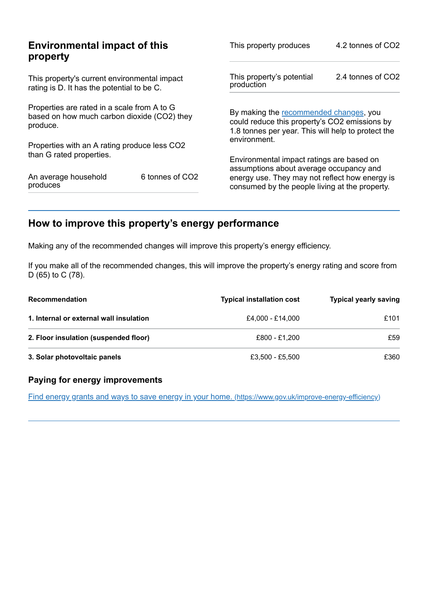| <b>Environmental impact of this</b><br>property                                                        |                 | This property produces                                                                                                                        | 4.2 tonnes of CO2 |
|--------------------------------------------------------------------------------------------------------|-----------------|-----------------------------------------------------------------------------------------------------------------------------------------------|-------------------|
| This property's current environmental impact<br>rating is D. It has the potential to be C.             |                 | This property's potential<br>production                                                                                                       | 2.4 tonnes of CO2 |
| Properties are rated in a scale from A to G<br>based on how much carbon dioxide (CO2) they<br>produce. |                 | By making the recommended changes, you<br>could reduce this property's CO2 emissions by<br>1.8 tonnes per year. This will help to protect the |                   |
| Properties with an A rating produce less CO2                                                           |                 | environment.                                                                                                                                  |                   |
| than G rated properties.                                                                               |                 | Environmental impact ratings are based on<br>assumptions about average occupancy and                                                          |                   |
| An average household<br>produces                                                                       | 6 tonnes of CO2 | energy use. They may not reflect how energy is<br>consumed by the people living at the property.                                              |                   |

# <span id="page-2-0"></span>**How to improve this property's energy performance**

Making any of the recommended changes will improve this property's energy efficiency.

If you make all of the recommended changes, this will improve the property's energy rating and score from D (65) to C (78).

| <b>Recommendation</b>                   | <b>Typical installation cost</b> | <b>Typical yearly saving</b> |
|-----------------------------------------|----------------------------------|------------------------------|
| 1. Internal or external wall insulation | £4.000 - £14.000                 | £101                         |
| 2. Floor insulation (suspended floor)   | £800 - £1.200                    | £59                          |
| 3. Solar photovoltaic panels            | £3.500 - £5.500                  | £360                         |

### **Paying for energy improvements**

Find energy grants and ways to save energy in your home. [\(https://www.gov.uk/improve-energy-efficiency\)](https://www.gov.uk/improve-energy-efficiency)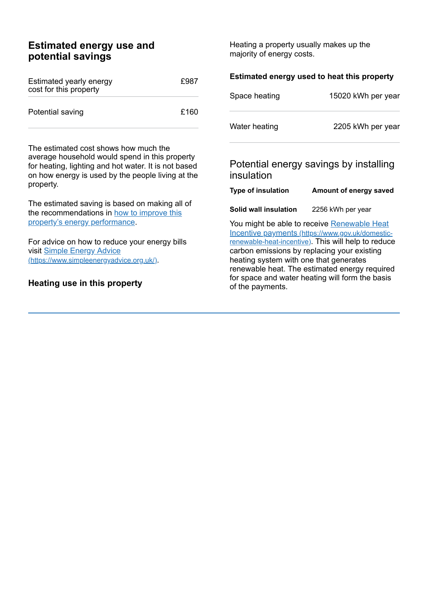# **Estimated energy use and potential savings**

| Estimated yearly energy<br>cost for this property | £987 |
|---------------------------------------------------|------|
| Potential saving                                  | £160 |

The estimated cost shows how much the average household would spend in this property for heating, lighting and hot water. It is not based on how energy is used by the people living at the property.

The estimated saving is based on making all of the [recommendations](#page-2-0) in how to improve this property's energy performance.

For advice on how to reduce your energy bills visit Simple Energy Advice [\(https://www.simpleenergyadvice.org.uk/\)](https://www.simpleenergyadvice.org.uk/).

#### **Heating use in this property**

Heating a property usually makes up the majority of energy costs.

| Estimated energy used to heat this property                                                                                                                                                                                                                                                                                                         |                                        |  |
|-----------------------------------------------------------------------------------------------------------------------------------------------------------------------------------------------------------------------------------------------------------------------------------------------------------------------------------------------------|----------------------------------------|--|
| Space heating                                                                                                                                                                                                                                                                                                                                       | 15020 kWh per year                     |  |
| Water heating                                                                                                                                                                                                                                                                                                                                       | 2205 kWh per year                      |  |
| insulation                                                                                                                                                                                                                                                                                                                                          | Potential energy savings by installing |  |
| <b>Type of insulation</b>                                                                                                                                                                                                                                                                                                                           | Amount of energy saved                 |  |
| Solid wall insulation                                                                                                                                                                                                                                                                                                                               | 2256 kWh per year                      |  |
| You might be able to receive Renewable Heat<br>Incentive payments (https://www.gov.uk/domestic-<br>renewable-heat-incentive). This will help to reduce<br>carbon emissions by replacing your existing<br>heating system with one that generates<br>renewable heat. The estimated energy required<br>for space and water heating will form the basis |                                        |  |

of the payments.